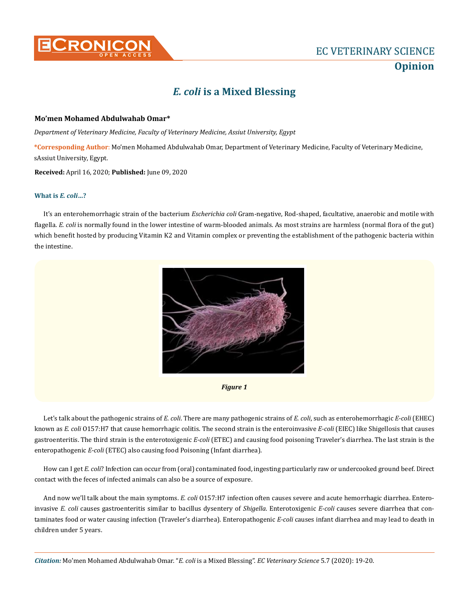

## *E. coli* **is a Mixed Blessing**

## **Mo'men Mohamed Abdulwahab Omar\***

*Department of Veterinary Medicine, Faculty of Veterinary Medicine, Assiut University, Egypt* 

**\*Corresponding Author**: Mo'men Mohamed Abdulwahab Omar, Department of Veterinary Medicine, Faculty of Veterinary Medicine, sAssiut University, Egypt.

**Received:** April 16, 2020; **Published:** June 09, 2020

## **What is** *E. coli***…?**

It's an enterohemorrhagic strain of the bacterium *Escherichia coli* Gram-negative, Rod-shaped, facultative, anaerobic and motile with flagella. *E. coli* is normally found in the lower intestine of warm-blooded animals. As most strains are harmless (normal flora of the gut) which benefit hosted by producing Vitamin K2 and Vitamin complex or preventing the establishment of the pathogenic bacteria within the intestine.



*Figure 1*

Let's talk about the pathogenic strains of *E. coli*. There are many pathogenic strains of *E. coli*, such as enterohemorrhagic *E-coli* (EHEC) known as *E. coli* O157:H7 that cause hemorrhagic colitis. The second strain is the enteroinvasive *E-coli* (EIEC) like Shigellosis that causes gastroenteritis. The third strain is the enterotoxigenic *E-coli* (ETEC) and causing food poisoning Traveler's diarrhea. The last strain is the enteropathogenic *E-coli* (ETEC) also causing food Poisoning (Infant diarrhea).

How can I get *E. coli*? Infection can occur from (oral) contaminated food, ingesting particularly raw or undercooked ground beef. Direct contact with the feces of infected animals can also be a source of exposure.

And now we'll talk about the main symptoms. *E. coli* O157:H7 infection often causes severe and acute hemorrhagic diarrhea. Enteroinvasive *E. coli* causes gastroenteritis similar to bacillus dysentery of *Shigella*. Enterotoxigenic *E-coli* causes severe diarrhea that contaminates food or water causing infection (Traveler's diarrhea). Enteropathogenic *E-coli* causes infant diarrhea and may lead to death in children under 5 years.